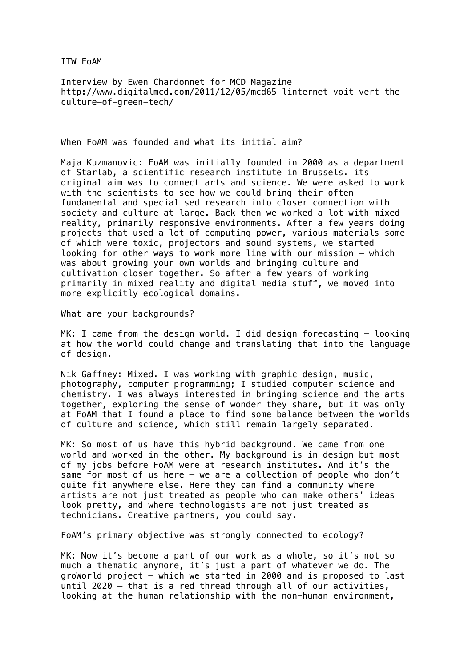ITW FoAM

Interview by Ewen Chardonnet for MCD Magazine http://www.digitalmcd.com/2011/12/05/mcd65-linternet-voit-vert-theculture-of-green-tech/

When FoAM was founded and what its initial aim?

Maja Kuzmanovic: FoAM was initially founded in 2000 as a department of Starlab, a scientific research institute in Brussels. its original aim was to connect arts and science. We were asked to work with the scientists to see how we could bring their often fundamental and specialised research into closer connection with society and culture at large. Back then we worked a lot with mixed reality, primarily responsive environments. After a few years doing projects that used a lot of computing power, various materials some of which were toxic, projectors and sound systems, we started looking for other ways to work more line with our mission – which was about growing your own worlds and bringing culture and cultivation closer together. So after a few years of working primarily in mixed reality and digital media stuff, we moved into more explicitly ecological domains.

What are your backgrounds?

MK: I came from the design world. I did design forecasting – looking at how the world could change and translating that into the language of design.

Nik Gaffney: Mixed. I was working with graphic design, music, photography, computer programming; I studied computer science and chemistry. I was always interested in bringing science and the arts together, exploring the sense of wonder they share, but it was only at FoAM that I found a place to find some balance between the worlds of culture and science, which still remain largely separated.

MK: So most of us have this hybrid background. We came from one world and worked in the other. My background is in design but most of my jobs before FoAM were at research institutes. And it's the same for most of us here – we are a collection of people who don't quite fit anywhere else. Here they can find a community where artists are not just treated as people who can make others' ideas look pretty, and where technologists are not just treated as technicians. Creative partners, you could say.

FoAM's primary objective was strongly connected to ecology?

MK: Now it's become a part of our work as a whole, so it's not so much a thematic anymore, it's just a part of whatever we do. The groWorld project – which we started in 2000 and is proposed to last until 2020 – that is a red thread through all of our activities, looking at the human relationship with the non-human environment,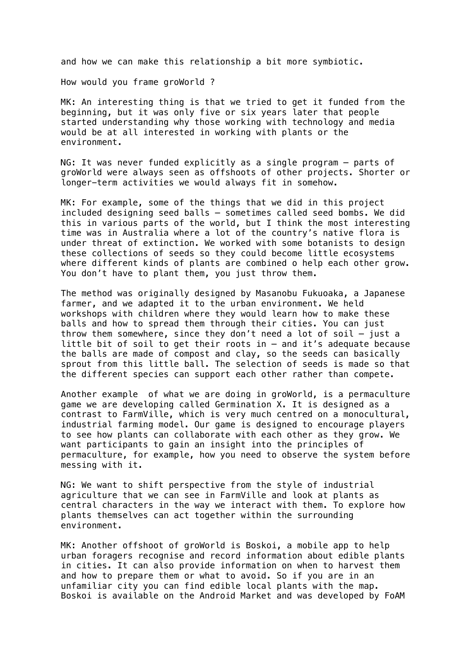and how we can make this relationship a bit more symbiotic.

How would you frame groWorld ?

MK: An interesting thing is that we tried to get it funded from the beginning, but it was only five or six years later that people started understanding why those working with technology and media would be at all interested in working with plants or the environment.

NG: It was never funded explicitly as a single program – parts of groWorld were always seen as offshoots of other projects. Shorter or longer-term activities we would always fit in somehow.

MK: For example, some of the things that we did in this project included designing seed balls – sometimes called seed bombs. We did this in various parts of the world, but I think the most interesting time was in Australia where a lot of the country's native flora is under threat of extinction. We worked with some botanists to design these collections of seeds so they could become little ecosystems where different kinds of plants are combined o help each other grow. You don't have to plant them, you just throw them.

The method was originally designed by Masanobu Fukuoaka, a Japanese farmer, and we adapted it to the urban environment. We held workshops with children where they would learn how to make these balls and how to spread them through their cities. You can just throw them somewhere, since they don't need a lot of soil – just a little bit of soil to get their roots in – and it's adequate because the balls are made of compost and clay, so the seeds can basically sprout from this little ball. The selection of seeds is made so that the different species can support each other rather than compete.

Another example of what we are doing in groWorld, is a permaculture game we are developing called Germination X. It is designed as a contrast to FarmVille, which is very much centred on a monocultural, industrial farming model. Our game is designed to encourage players to see how plants can collaborate with each other as they grow. We want participants to gain an insight into the principles of permaculture, for example, how you need to observe the system before messing with it.

NG: We want to shift perspective from the style of industrial agriculture that we can see in FarmVille and look at plants as central characters in the way we interact with them. To explore how plants themselves can act together within the surrounding environment.

MK: Another offshoot of groWorld is Boskoi, a mobile app to help urban foragers recognise and record information about edible plants in cities. It can also provide information on when to harvest them and how to prepare them or what to avoid. So if you are in an unfamiliar city you can find edible local plants with the map. Boskoi is available on the Android Market and was developed by FoAM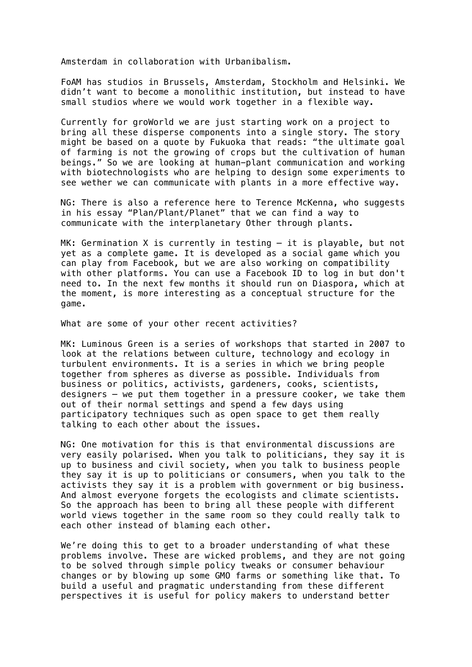Amsterdam in collaboration with Urbanibalism.

FoAM has studios in Brussels, Amsterdam, Stockholm and Helsinki. We didn't want to become a monolithic institution, but instead to have small studios where we would work together in a flexible way.

Currently for groWorld we are just starting work on a project to bring all these disperse components into a single story. The story might be based on a quote by Fukuoka that reads: "the ultimate goal of farming is not the growing of crops but the cultivation of human beings." So we are looking at human-plant communication and working with biotechnologists who are helping to design some experiments to see wether we can communicate with plants in a more effective way.

NG: There is also a reference here to Terence McKenna, who suggests in his essay "Plan/Plant/Planet" that we can find a way to communicate with the interplanetary Other through plants.

MK: Germination X is currently in testing – it is playable, but not yet as a complete game. It is developed as a social game which you can play from Facebook, but we are also working on compatibility with other platforms. You can use a Facebook ID to log in but don't need to. In the next few months it should run on Diaspora, which at the moment, is more interesting as a conceptual structure for the game.

What are some of your other recent activities?

MK: Luminous Green is a series of workshops that started in 2007 to look at the relations between culture, technology and ecology in turbulent environments. It is a series in which we bring people together from spheres as diverse as possible. Individuals from business or politics, activists, gardeners, cooks, scientists, designers – we put them together in a pressure cooker, we take them out of their normal settings and spend a few days using participatory techniques such as open space to get them really talking to each other about the issues.

NG: One motivation for this is that environmental discussions are very easily polarised. When you talk to politicians, they say it is up to business and civil society, when you talk to business people they say it is up to politicians or consumers, when you talk to the activists they say it is a problem with government or big business. And almost everyone forgets the ecologists and climate scientists. So the approach has been to bring all these people with different world views together in the same room so they could really talk to each other instead of blaming each other.

We're doing this to get to a broader understanding of what these problems involve. These are wicked problems, and they are not going to be solved through simple policy tweaks or consumer behaviour changes or by blowing up some GMO farms or something like that. To build a useful and pragmatic understanding from these different perspectives it is useful for policy makers to understand better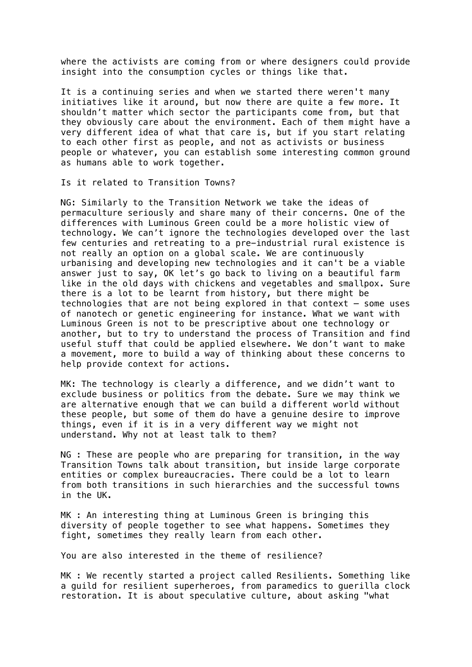where the activists are coming from or where designers could provide insight into the consumption cycles or things like that.

It is a continuing series and when we started there weren't many initiatives like it around, but now there are quite a few more. It shouldn't matter which sector the participants come from, but that they obviously care about the environment. Each of them might have a very different idea of what that care is, but if you start relating to each other first as people, and not as activists or business people or whatever, you can establish some interesting common ground as humans able to work together.

Is it related to Transition Towns?

NG: Similarly to the Transition Network we take the ideas of permaculture seriously and share many of their concerns. One of the differences with Luminous Green could be a more holistic view of technology. We can't ignore the technologies developed over the last few centuries and retreating to a pre-industrial rural existence is not really an option on a global scale. We are continuously urbanising and developing new technologies and it can't be a viable answer just to say, OK let's go back to living on a beautiful farm like in the old days with chickens and vegetables and smallpox. Sure there is a lot to be learnt from history, but there might be technologies that are not being explored in that context – some uses of nanotech or genetic engineering for instance. What we want with Luminous Green is not to be prescriptive about one technology or another, but to try to understand the process of Transition and find useful stuff that could be applied elsewhere. We don't want to make a movement, more to build a way of thinking about these concerns to help provide context for actions.

MK: The technology is clearly a difference, and we didn't want to exclude business or politics from the debate. Sure we may think we are alternative enough that we can build a different world without these people, but some of them do have a genuine desire to improve things, even if it is in a very different way we might not understand. Why not at least talk to them?

NG : These are people who are preparing for transition, in the way Transition Towns talk about transition, but inside large corporate entities or complex bureaucracies. There could be a lot to learn from both transitions in such hierarchies and the successful towns in the UK.

MK : An interesting thing at Luminous Green is bringing this diversity of people together to see what happens. Sometimes they fight, sometimes they really learn from each other.

You are also interested in the theme of resilience?

MK : We recently started a project called Resilients. Something like a guild for resilient superheroes, from paramedics to guerilla clock restoration. It is about speculative culture, about asking "what